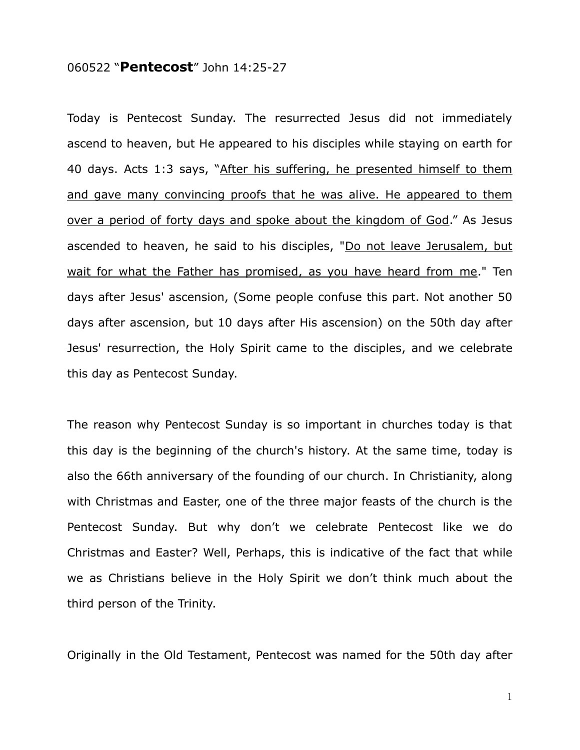## 060522 "**Pentecost**" John 14:25-27

Today is Pentecost Sunday. The resurrected Jesus did not immediately ascend to heaven, but He appeared to his disciples while staying on earth for 40 days. Acts 1:3 says, "After his suffering, he presented himself to them and gave many convincing proofs that he was alive. He appeared to them over a period of forty days and spoke about the kingdom of God." As Jesus ascended to heaven, he said to his disciples, "Do not leave Jerusalem, but wait for what the Father has promised, as you have heard from me." Ten days after Jesus' ascension, (Some people confuse this part. Not another 50 days after ascension, but 10 days after His ascension) on the 50th day after Jesus' resurrection, the Holy Spirit came to the disciples, and we celebrate this day as Pentecost Sunday.

The reason why Pentecost Sunday is so important in churches today is that this day is the beginning of the church's history. At the same time, today is also the 66th anniversary of the founding of our church. In Christianity, along with Christmas and Easter, one of the three major feasts of the church is the Pentecost Sunday. But why don't we celebrate Pentecost like we do Christmas and Easter? Well, Perhaps, this is indicative of the fact that while we as Christians believe in the Holy Spirit we don't think much about the third person of the Trinity.

Originally in the Old Testament, Pentecost was named for the 50th day after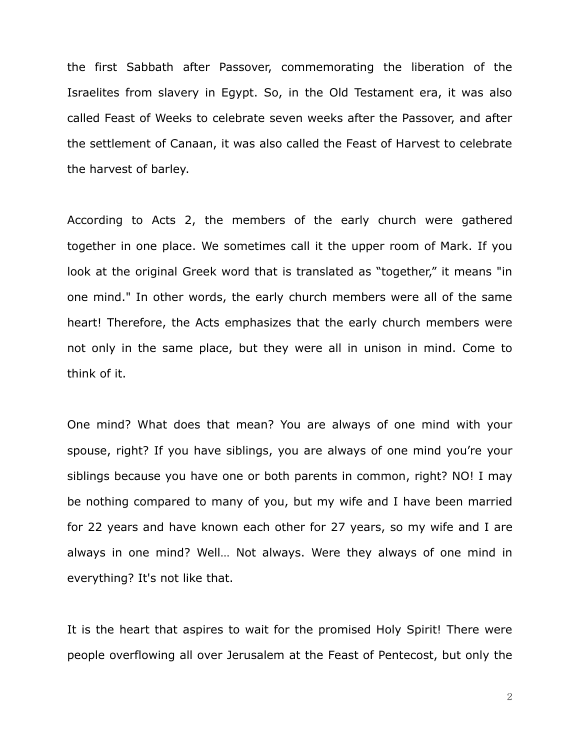the first Sabbath after Passover, commemorating the liberation of the Israelites from slavery in Egypt. So, in the Old Testament era, it was also called Feast of Weeks to celebrate seven weeks after the Passover, and after the settlement of Canaan, it was also called the Feast of Harvest to celebrate the harvest of barley.

According to Acts 2, the members of the early church were gathered together in one place. We sometimes call it the upper room of Mark. If you look at the original Greek word that is translated as "together," it means "in one mind." In other words, the early church members were all of the same heart! Therefore, the Acts emphasizes that the early church members were not only in the same place, but they were all in unison in mind. Come to think of it.

One mind? What does that mean? You are always of one mind with your spouse, right? If you have siblings, you are always of one mind you're your siblings because you have one or both parents in common, right? NO! I may be nothing compared to many of you, but my wife and I have been married for 22 years and have known each other for 27 years, so my wife and I are always in one mind? Well… Not always. Were they always of one mind in everything? It's not like that.

It is the heart that aspires to wait for the promised Holy Spirit! There were people overflowing all over Jerusalem at the Feast of Pentecost, but only the

2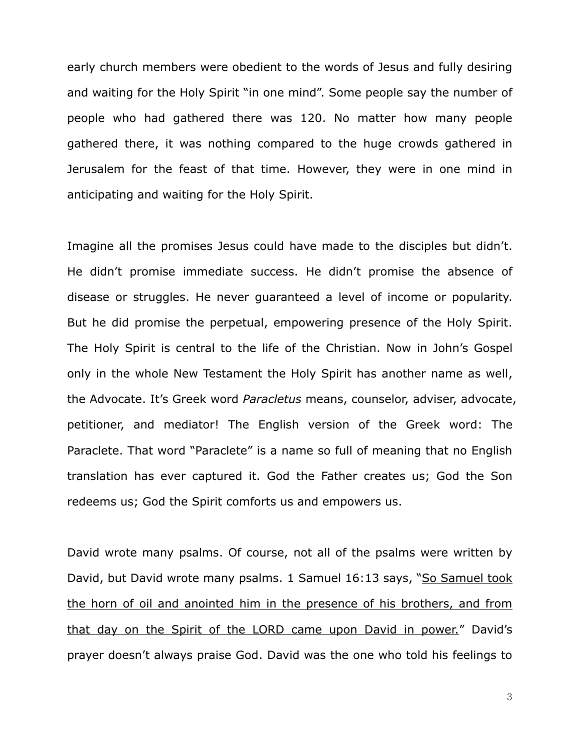early church members were obedient to the words of Jesus and fully desiring and waiting for the Holy Spirit "in one mind". Some people say the number of people who had gathered there was 120. No matter how many people gathered there, it was nothing compared to the huge crowds gathered in Jerusalem for the feast of that time. However, they were in one mind in anticipating and waiting for the Holy Spirit.

Imagine all the promises Jesus could have made to the disciples but didn't. He didn't promise immediate success. He didn't promise the absence of disease or struggles. He never guaranteed a level of income or popularity. But he did promise the perpetual, empowering presence of the Holy Spirit. The Holy Spirit is central to the life of the Christian. Now in John's Gospel only in the whole New Testament the Holy Spirit has another name as well, the Advocate. It's Greek word *Paracletus* means, counselor, adviser, advocate, petitioner, and mediator! The English version of the Greek word: The Paraclete. That word "Paraclete" is a name so full of meaning that no English translation has ever captured it. God the Father creates us; God the Son redeems us; God the Spirit comforts us and empowers us.

David wrote many psalms. Of course, not all of the psalms were written by David, but David wrote many psalms. 1 Samuel 16:13 says, "So Samuel took the horn of oil and anointed him in the presence of his brothers, and from that day on the Spirit of the LORD came upon David in power." David's prayer doesn't always praise God. David was the one who told his feelings to

3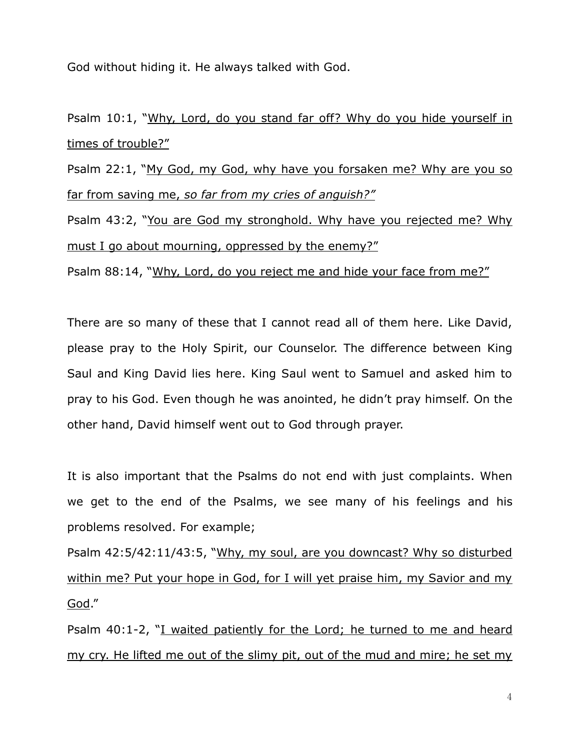God without hiding it. He always talked with God.

Psalm 10:1, "Why, Lord, do you stand far off? Why do you hide yourself in times of trouble?"

Psalm 22:1, "My God, my God, why have you forsaken me? Why are you so far from saving me, *so far from my cries of anguish?"*

Psalm 43:2, "You are God my stronghold. Why have you rejected me? Why must I go about mourning, oppressed by the enemy?"

Psalm 88:14, "Why, Lord, do you reject me and hide your face from me?"

There are so many of these that I cannot read all of them here. Like David, please pray to the Holy Spirit, our Counselor. The difference between King Saul and King David lies here. King Saul went to Samuel and asked him to pray to his God. Even though he was anointed, he didn't pray himself. On the other hand, David himself went out to God through prayer.

It is also important that the Psalms do not end with just complaints. When we get to the end of the Psalms, we see many of his feelings and his problems resolved. For example;

Psalm 42:5/42:11/43:5, "Why, my soul, are you downcast? Why so disturbed within me? Put your hope in God, for I will yet praise him, my Savior and my God."

Psalm 40:1-2, "I waited patiently for the Lord; he turned to me and heard my cry. He lifted me out of the slimy pit, out of the mud and mire; he set my